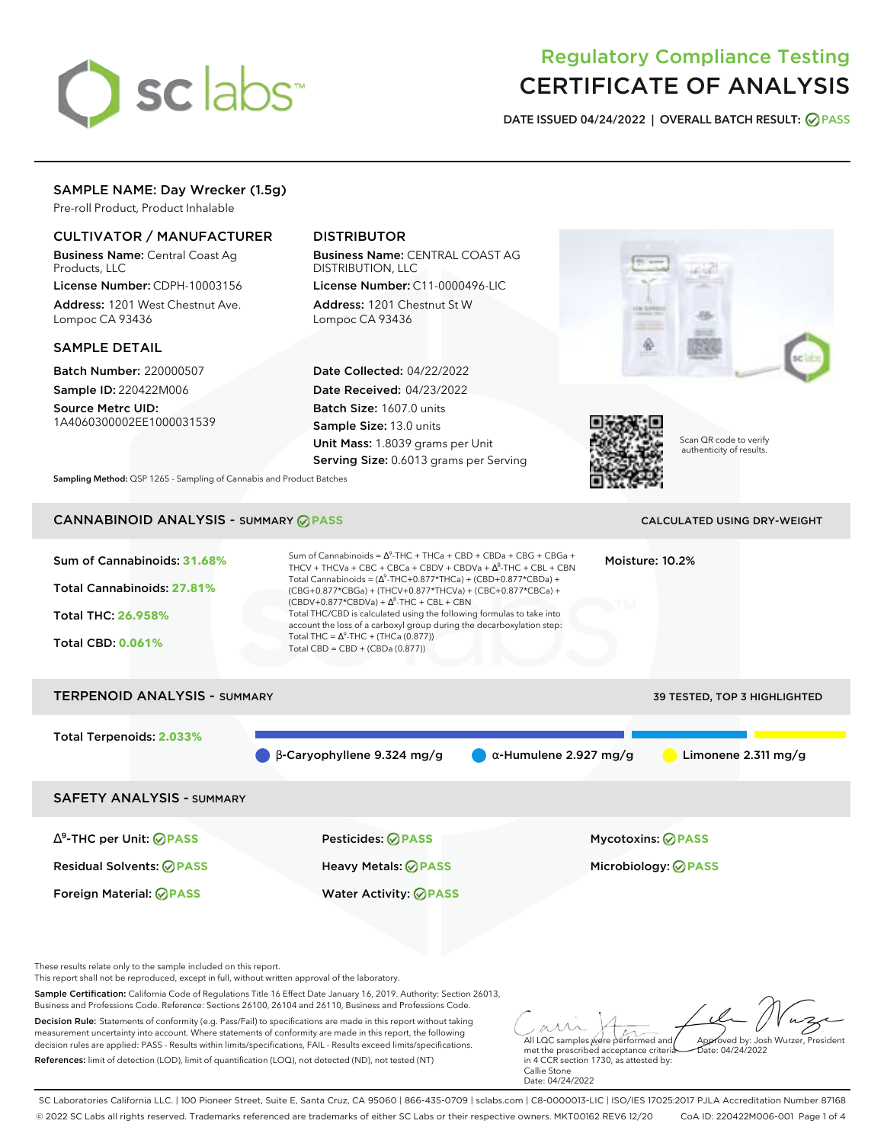# sclabs<sup>\*</sup>

## Regulatory Compliance Testing CERTIFICATE OF ANALYSIS

**DATE ISSUED 04/24/2022 | OVERALL BATCH RESULT: PASS**

## SAMPLE NAME: Day Wrecker (1.5g)

Pre-roll Product, Product Inhalable

### CULTIVATOR / MANUFACTURER

Business Name: Central Coast Ag Products, LLC

License Number: CDPH-10003156 Address: 1201 West Chestnut Ave. Lompoc CA 93436

#### SAMPLE DETAIL

Batch Number: 220000507 Sample ID: 220422M006

Source Metrc UID: 1A4060300002EE1000031539

## DISTRIBUTOR

Business Name: CENTRAL COAST AG DISTRIBUTION, LLC License Number: C11-0000496-LIC

Address: 1201 Chestnut St W Lompoc CA 93436

Date Collected: 04/22/2022 Date Received: 04/23/2022 Batch Size: 1607.0 units Sample Size: 13.0 units Unit Mass: 1.8039 grams per Unit Serving Size: 0.6013 grams per Serving





Scan QR code to verify authenticity of results.

**Sampling Method:** QSP 1265 - Sampling of Cannabis and Product Batches

## **CANNABINOID ANALYSIS - SUMMARY @ PASS** CALCULATED USING DRY-WEIGHT

#### Sum of Cannabinoids: **31.68%** Total Cannabinoids: **27.81%** Total THC: **26.958%** Total CBD: **0.061%** Sum of Cannabinoids =  $\Delta^9$ -THC + THCa + CBD + CBDa + CBG + CBGa + THCV + THCVa + CBC + CBCa + CBDV + CBDVa +  $\Delta^8$ -THC + CBL + CBN Total Cannabinoids = ( $\Delta^9$ -THC+0.877\*THCa) + (CBD+0.877\*CBDa) + (CBG+0.877\*CBGa) + (THCV+0.877\*THCVa) + (CBC+0.877\*CBCa) +  $(CBDV+0.877*CBDVa) + \Delta^8$ -THC + CBL + CBN Total THC/CBD is calculated using the following formulas to take into account the loss of a carboxyl group during the decarboxylation step: Total THC =  $\Delta^9$ -THC + (THCa (0.877)) Total CBD = CBD + (CBDa (0.877)) Moisture: 10.2% TERPENOID ANALYSIS - SUMMARY 39 TESTED, TOP 3 HIGHLIGHTED Total Terpenoids: **2.033%**

β-Caryophyllene 9.324 mg/g α-Humulene 2.927 mg/g Limonene 2.311 mg/g

SAFETY ANALYSIS - SUMMARY

∆ 9 -THC per Unit: **PASS** Pesticides: **PASS** Mycotoxins: **PASS** Residual Solvents: **PASS** Heavy Metals: **PASS** Microbiology: **PASS**

Foreign Material: **PASS** Water Activity: **PASS**

These results relate only to the sample included on this report.

This report shall not be reproduced, except in full, without written approval of the laboratory.

Sample Certification: California Code of Regulations Title 16 Effect Date January 16, 2019. Authority: Section 26013, Business and Professions Code. Reference: Sections 26100, 26104 and 26110, Business and Professions Code.

Decision Rule: Statements of conformity (e.g. Pass/Fail) to specifications are made in this report without taking measurement uncertainty into account. Where statements of conformity are made in this report, the following decision rules are applied: PASS - Results within limits/specifications, FAIL - Results exceed limits/specifications. References: limit of detection (LOD), limit of quantification (LOQ), not detected (ND), not tested (NT)

All LQC samples were performed and Approved by: Josh Wurzer, President  $hat(0.4/24/2022)$ 

met the prescribed acceptance criteria in 4 CCR section 1730, as attested by: Callie Stone Date: 04/24/2022

SC Laboratories California LLC. | 100 Pioneer Street, Suite E, Santa Cruz, CA 95060 | 866-435-0709 | sclabs.com | C8-0000013-LIC | ISO/IES 17025:2017 PJLA Accreditation Number 87168 © 2022 SC Labs all rights reserved. Trademarks referenced are trademarks of either SC Labs or their respective owners. MKT00162 REV6 12/20 CoA ID: 220422M006-001 Page 1 of 4